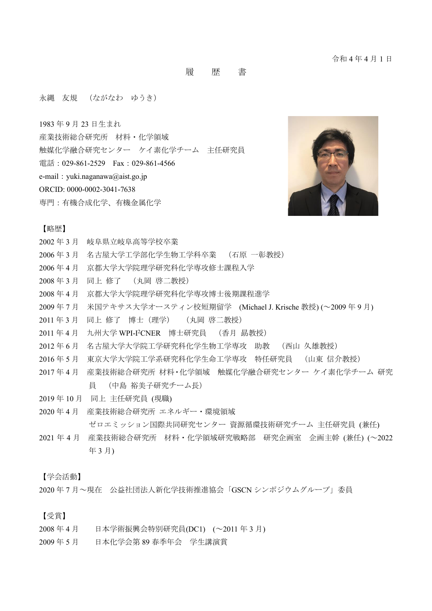履 歴 書

永縄 友規 (ながなわ ゆうき)

1983 年 9 月 23 日生まれ

- 産業技術総合研究所 材料・化学領域
- 触媒化学融合研究センター ケイ素化学チーム 主任研究員
- 電話:029-861-2529 Fax:029-861-4566
- e-mail: yuki.naganawa@aist.go.jp
- ORCID: 0000-0002-3041-7638
- 専門:有機合成化学、有機金属化学



#### 【略歴】

- 2002 年 3 月 岐阜県立岐阜高等学校卒業
- 2006 年 3 月 名古屋大学工学部化学生物工学科卒業 (石原 一彰教授)
- 2006 年 4 月 京都大学大学院理学研究科化学専攻修士課程入学
- 2008 年 3 月 同上 修了 (丸岡 啓二教授)
- 2008 年 4 月 京都大学大学院理学研究科化学専攻博士後期課程進学
- 2009 年 7 月 米国テキサス大学オースティン校短期留学 (Michael J. Krische 教授) (~2009 年 9 月)
- 2011 年 3 月 同上 修了 博士(理学) (丸岡 啓二教授)
- 2011 年 4 月 九州大学 WPI-I <sup>2</sup>CNER 博士研究員 (香月 勗教授)
- 2012 年 6 月 名古屋大学大学院工学研究科化学生物工学専攻 助教 (西山 久雄教授)
- 2016 年 5 月 東京大学大学院工学系研究科化学生命工学専攻 特任研究員 (山東 信介教授)
- 2017 年 4 月 産業技術総合研究所 材料・化学領域 触媒化学融合研究センター ケイ素化学チーム 研究 員 (中島 裕美子研究チーム長)
- 2019 年 10 月 同上 主任研究員 (現職)
- 2020 年 4 月 産業技術総合研究所 エネルギー・環境領域 ゼロエミッション国際共同研究センター 資源循環技術研究チーム 主任研究員 (兼任)
- 2021 年 4 月 産業技術総合研究所 材料・化学領域研究戦略部 研究企画室 企画主幹 (兼任) (~2022 年 3 月)

【学会活動】

2020 年 7 月~現在 公益社団法人新化学技術推進協会「GSCN シンポジウムグループ」委員

【受賞】

- 2008 年 4 月 日本学術振興会特別研究員(DC1) (~2011 年 3 月)
- 2009 年 5 月 日本化学会第 89 春季年会 学生講演賞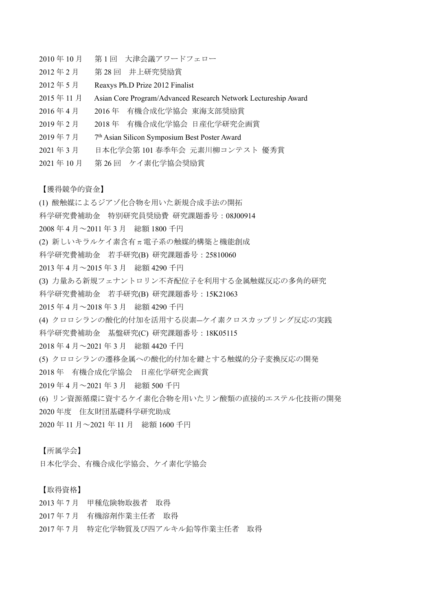- 2010 年 10 月 第 1 回 大津会議アワードフェロー
- 2012 年 2 月 第 28 回 井上研究奨励賞
- 2012 年 5 月 Reaxys Ph.D Prize 2012 Finalist
- 2015 年 11 月 Asian Core Program/Advanced Research Network Lectureship Award
- 2016 年 4 月 2016 年 有機合成化学協会 東海支部奨励賞
- 2019 年 2 月 2018 年 有機合成化学協会 日産化学研究企画賞
- 2019 年 7 月 7 7<sup>th</sup> Asian Silicon Symposium Best Poster Award
- 2021 年 3 月 日本化学会第 101 春季年会 元素川柳コンテスト 優秀賞
- 2021 年 10 月 第 26 回 ケイ素化学協会奨励賞

【獲得競争的資金】

- (1) 酸触媒によるジアゾ化合物を用いた新規合成手法の開拓
- 科学研究費補助金 特別研究員奨励費 研究課題番号:08J00914
- 2008 年 4 月~2011 年 3 月 総額 1800 千円
- (2) 新しいキラルケイ素含有π電子系の触媒的構築と機能創成
- 科学研究費補助金 若手研究(B) 研究課題番号:25810060
- 2013 年 4 月~2015 年 3 月 総額 4290 千円
- (3) 力量ある新規フェナントロリン不斉配位子を利用する金属触媒反応の多角的研究
- 科学研究費補助金 若手研究(B) 研究課題番号:15K21063
- 2015 年 4 月~2018 年 3 月 総額 4290 千円
- (4) クロロシランの酸化的付加を活用する炭素―ケイ素クロスカップリング反応の実践
- 科学研究費補助金 基盤研究(C) 研究課題番号:18K05115
- 2018 年 4 月~2021 年 3 月 総額 4420 千円
- (5) クロロシランの遷移金属への酸化的付加を鍵とする触媒的分子変換反応の開発
- 2018 年 有機合成化学協会 日産化学研究企画賞
- 2019 年 4 月~2021 年 3 月 総額 500 千円
- (6) リン資源循環に資するケイ素化合物を用いたリン酸類の直接的エステル化技術の開発
- 2020 年度 住友財団基礎科学研究助成
- 2020 年 11 月~2021 年 11 月 総額 1600 千円

#### 【所属学会】

日本化学会、有機合成化学協会、ケイ素化学協会

### 【取得資格】

- 2013 年 7 月 甲種危険物取扱者 取得
- 2017 年 7 月 有機溶剤作業主任者 取得
- 2017 年 7 月 特定化学物質及び四アルキル鉛等作業主任者 取得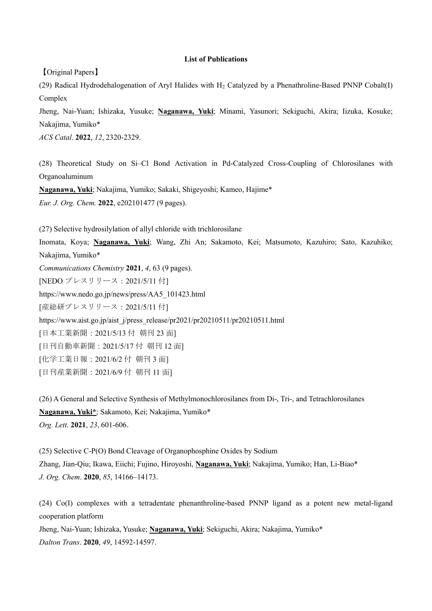#### **List of Publications**

【Original Papers】

(29) Radical Hydrodehalogenation of Aryl Halides with  $H<sub>2</sub>$  Catalyzed by a Phenathroline-Based PNNP Cobalt(I) Complex

Jheng, Nai-Yuan; Ishizaka, Yusuke; **Naganawa, Yuki**; Minami, Yasunori; Sekiguchi, Akira; Iizuka, Kosuke; Nakajima, Yumiko\*

*ACS Catal*. **2022**, *12*, 2320-2329.

(28) Theoretical Study on Si‒Cl Bond Activation in Pd-Catalyzed Cross-Coupling of Chlorosilanes with Organoaluminum

**Naganawa, Yuki**; Nakajima, Yumiko; Sakaki, Shigeyoshi; Kameo, Hajime\*

*Eur. J. Org. Chem.* **2022**, e202101477 (9 pages).

(27) Selective hydrosilylation of allyl chloride with trichlorosilane Inomata, Koya; **Naganawa, Yuki**; Wang, Zhi An; Sakamoto, Kei; Matsumoto, Kazuhiro; Sato, Kazuhiko; Nakajima, Yumiko\* *Communications Chemistry* **2021**, *4*, 63 (9 pages). [NEDO プレスリリース:2021/5/11 付] https://www.nedo.go.jp/news/press/AA5\_101423.html [産総研プレスリリース:2021/5/11 付] https://www.aist.go.jp/aist\_j/press\_release/pr2021/pr20210511/pr20210511.html [日本工業新聞:2021/5/13 付 朝刊 23 面] [日刊自動車新聞:2021/5/17 付 朝刊 12 面] [化学工業日報:2021/6/2 付 朝刊 3 面]

[日刊産業新聞:2021/6/9 付 朝刊 11 面]

(26) A General and Selective Synthesis of Methylmonochlorosilanes from Di-, Tri-, and Tetrachlorosilanes **Naganawa, Yuki\***; Sakamoto, Kei; Nakajima, Yumiko\* *Org. Lett*. **2021**, *23*, 601-606.

(25) Selective C-P(O) Bond Cleavage of Organophosphine Oxides by Sodium Zhang, Jian-Qiu; Ikawa, Eiichi; Fujino, Hiroyoshi, **Naganawa, Yuki**; Nakajima, Yumiko; Han, Li-Biao\* *J. Org. Chem*. **2020**, *85*, 14166–14173.

(24) Co(I) complexes with a tetradentate phenanthroline-based PNNP ligand as a potent new metal-ligand cooperation platform

Jheng, Nai-Yuan; Ishizaka, Yusuke; **Naganawa, Yuki**; Sekiguchi, Akira; Nakajima, Yumiko\* *Dalton Trans*. **2020**, *49*, 14592-14597.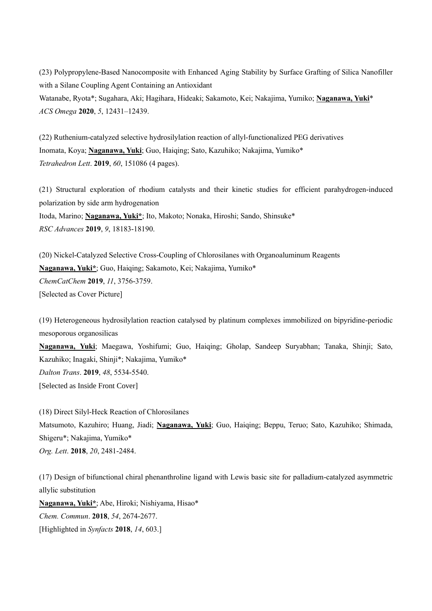(23) Polypropylene-Based Nanocomposite with Enhanced Aging Stability by Surface Grafting of Silica Nanofiller with a Silane Coupling Agent Containing an Antioxidant Watanabe, Ryota\*; Sugahara, Aki; Hagihara, Hideaki; Sakamoto, Kei; Nakajima, Yumiko; **Naganawa, Yuki**\* *ACS Omega* **2020**, *5*, 12431–12439.

(22) Ruthenium-catalyzed selective hydrosilylation reaction of allyl-functionalized PEG derivatives Inomata, Koya; **Naganawa, Yuki**; Guo, Haiqing; Sato, Kazuhiko; Nakajima, Yumiko\* *Tetrahedron Lett*. **2019**, *60*, 151086 (4 pages).

(21) Structural exploration of rhodium catalysts and their kinetic studies for efficient parahydrogen-induced polarization by side arm hydrogenation Itoda, Marino; **Naganawa, Yuki\***; Ito, Makoto; Nonaka, Hiroshi; Sando, Shinsuke\* *RSC Advances* **2019**, *9*, 18183-18190.

(20) Nickel-Catalyzed Selective Cross-Coupling of Chlorosilanes with Organoaluminum Reagents **Naganawa, Yuki\***; Guo, Haiqing; Sakamoto, Kei; Nakajima, Yumiko\* *ChemCatChem* **2019**, *11*, 3756-3759. [Selected as Cover Picture]

(19) Heterogeneous hydrosilylation reaction catalysed by platinum complexes immobilized on bipyridine-periodic mesoporous organosilicas

**Naganawa, Yuki**; Maegawa, Yoshifumi; Guo, Haiqing; Gholap, Sandeep Suryabhan; Tanaka, Shinji; Sato, Kazuhiko; Inagaki, Shinji\*; Nakajima, Yumiko\* *Dalton Trans*. **2019**, *48*, 5534-5540. [Selected as Inside Front Cover]

(18) Direct Silyl-Heck Reaction of Chlorosilanes Matsumoto, Kazuhiro; Huang, Jiadi; **Naganawa, Yuki**; Guo, Haiqing; Beppu, Teruo; Sato, Kazuhiko; Shimada, Shigeru\*; Nakajima, Yumiko\* *Org. Lett*. **2018**, *20*, 2481-2484.

(17) Design of bifunctional chiral phenanthroline ligand with Lewis basic site for palladium-catalyzed asymmetric allylic substitution

**Naganawa, Yuki\***; Abe, Hiroki; Nishiyama, Hisao\* *Chem. Commun*. **2018**, *54*, 2674-2677. [Highlighted in *Synfacts* **2018**, *14*, 603.]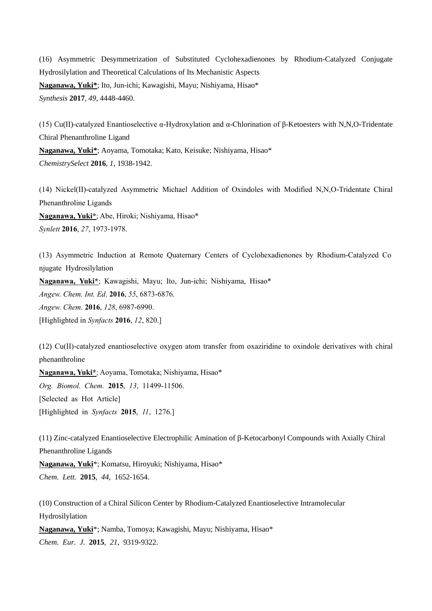(16) Asymmetric Desymmetrization of Substituted Cyclohexadienones by Rhodium-Catalyzed Conjugate Hydrosilylation and Theoretical Calculations of Its Mechanistic Aspects **Naganawa, Yuki\***; Ito, Jun-ichi; Kawagishi, Mayu; Nishiyama, Hisao\* *Synthesis* **2017**, *49*, 4448-4460.

(15) Cu(II)-catalyzed Enantioselective α-Hydroxylation and α-Chlorination of β-Ketoesters with N,N,O-Tridentate Chiral Phenanthroline Ligand **Naganawa, Yuki\***; Aoyama, Tomotaka; Kato, Keisuke; Nishiyama, Hisao\* *ChemistrySelect* **2016**, *1*, 1938-1942.

(14) Nickel(II)-catalyzed Asymmetric Michael Addition of Oxindoles with Modified N,N,O-Tridentate Chiral Phenanthroline Ligands **Naganawa, Yuki\***; Abe, Hiroki; Nishiyama, Hisao\* *Synlett* **2016**, *27*, 1973-1978.

(13) Asymmetric Induction at Remote Quaternary Centers of Cyclohexadienones by Rhodium-Catalyzed Co njugate Hydrosilylation **Naganawa, Yuki\***; Kawagishi, Mayu; Ito, Jun-ichi; Nishiyama, Hisao\* *Angew. Chem. Int. Ed*. **2016**, *55*, 6873-6876. *Angew. Chem*. **2016**, *128*, 6987-6990. [Highlighted in *Synfacts* **2016**, *12*, 820.]

(12) Cu(II)-catalyzed enantioselective oxygen atom transfer from oxaziridine to oxindole derivatives with chiral phenanthroline

**Naganawa, Yuki\***; Aoyama, Tomotaka; Nishiyama, Hisao\* *Org. Biomol. Chem.* **2015**, *13*, 11499-11506. [Selected as Hot Article] [Highlighted in *Synfacts* **2015**, *11*, 1276.]

(11) Zinc-catalyzed Enantioselective Electrophilic Amination of  $\beta$ -Ketocarbonyl Compounds with Axially Chiral Phenanthroline Ligands

**Naganawa, Yuki**\*; Komatsu, Hiroyuki; Nishiyama, Hisao\* *Chem. Lett*. **2015**, *44*, 1652-1654.

(10) Construction of a Chiral Silicon Center by Rhodium-Catalyzed Enantioselective Intramolecular Hydrosilylation

**Naganawa, Yuki**\*; Namba, Tomoya; Kawagishi, Mayu; Nishiyama, Hisao\* *Chem. Eur. J*. **2015**, *21*, 9319-9322.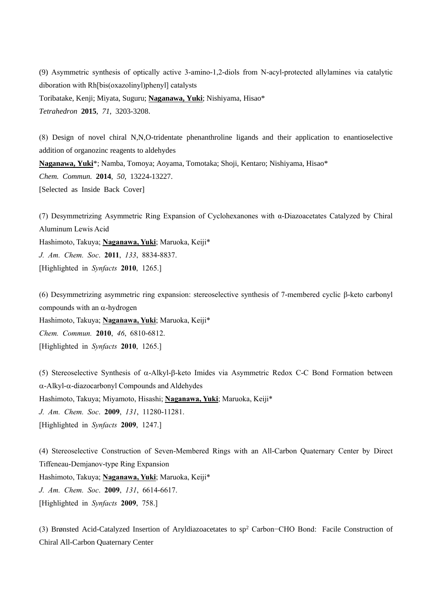(9) Asymmetric synthesis of optically active 3-amino-1,2-diols from N-acyl-protected allylamines via catalytic diboration with Rh[bis(oxazolinyl)phenyl] catalysts

Toribatake, Kenji; Miyata, Suguru; **Naganawa, Yuki**; Nishiyama, Hisao\*

*Tetrahedron* **2015**, *71*, 3203-3208.

(8) Design of novel chiral N,N,O-tridentate phenanthroline ligands and their application to enantioselective addition of organozinc reagents to aldehydes **Naganawa, Yuki**\*; Namba, Tomoya; Aoyama, Tomotaka; Shoji, Kentaro; Nishiyama, Hisao\* *Chem. Commun.* **2014**, *50*, 13224-13227. [Selected as Inside Back Cover]

(7) Desymmetrizing Asymmetric Ring Expansion of Cyclohexanones with α-Diazoacetates Catalyzed by Chiral Aluminum Lewis Acid Hashimoto, Takuya; **Naganawa, Yuki**; Maruoka, Keiji\* *J. Am. Chem. Soc*. **2011**, *133*, 8834-8837. [Highlighted in *Synfacts* **2010**, 1265.]

(6) Desymmetrizing asymmetric ring expansion: stereoselective synthesis of 7-membered cyclic  $\beta$ -keto carbonyl compounds with an  $\alpha$ -hydrogen Hashimoto, Takuya; **Naganawa, Yuki**; Maruoka, Keiji\* *Chem. Commun.* **2010**, *46*, 6810-6812. [Highlighted in *Synfacts* **2010**, 1265.]

(5) Stereoselective Synthesis of  $\alpha$ -Alkyl- $\beta$ -keto Imides via Asymmetric Redox C-C Bond Formation between  $\alpha$ -Alkyl- $\alpha$ -diazocarbonyl Compounds and Aldehydes Hashimoto, Takuya; Miyamoto, Hisashi; **Naganawa, Yuki**; Maruoka, Keiji\* *J. Am. Chem. Soc*. **2009**, *131*, 11280-11281. [Highlighted in *Synfacts* **2009**, 1247.]

(4) Stereoselective Construction of Seven-Membered Rings with an All-Carbon Quaternary Center by Direct Tiffeneau-Demjanov-type Ring Expansion Hashimoto, Takuya; **Naganawa, Yuki**; Maruoka, Keiji\* *J. Am. Chem. Soc*. **2009**, *131*, 6614-6617.

[Highlighted in *Synfacts* **2009**, 758.]

(3) Brønsted Acid-Catalyzed Insertion of Aryldiazoacetates to sp<sup>2</sup> Carbon−CHO Bond: Facile Construction of Chiral All-Carbon Quaternary Center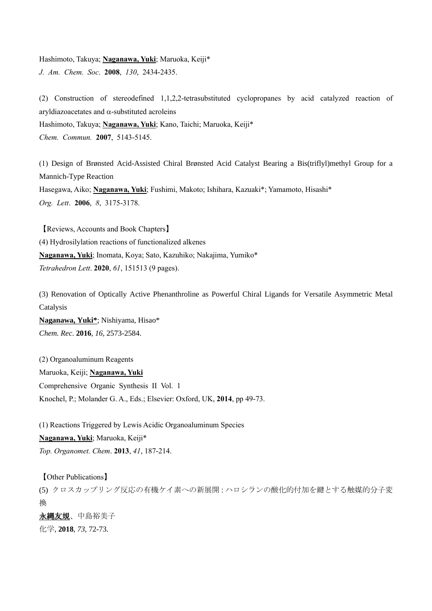Hashimoto, Takuya; **Naganawa, Yuki**; Maruoka, Keiji\* *J. Am. Chem. Soc*. **2008**, *130*, 2434-2435.

(2) Construction of stereodefined 1,1,2,2-tetrasubstituted cyclopropanes by acid catalyzed reaction of aryldiazoacetates and  $\alpha$ -substituted acroleins Hashimoto, Takuya; **Naganawa, Yuki**; Kano, Taichi; Maruoka, Keiji\* *Chem. Commun.* **2007**, 5143-5145.

(1) Design of Brønsted Acid-Assisted Chiral Brønsted Acid Catalyst Bearing a Bis(triflyl)methyl Group for a Mannich-Type Reaction Hasegawa, Aiko; **Naganawa, Yuki**; Fushimi, Makoto; Ishihara, Kazuaki\*; Yamamoto, Hisashi\* *Org. Lett*. **2006**, *8*, 3175-3178.

【Reviews, Accounts and Book Chapters】 (4) Hydrosilylation reactions of functionalized alkenes **Naganawa, Yuki**; Inomata, Koya; Sato, Kazuhiko; Nakajima, Yumiko\* *Tetrahedron Lett*. **2020**, *61*, 151513 (9 pages).

(3) Renovation of Optically Active Phenanthroline as Powerful Chiral Ligands for Versatile Asymmetric Metal Catalysis

**Naganawa, Yuki\***; Nishiyama, Hisao\* *Chem. Rec*. **2016**, *16*, 2573-2584.

(2) Organoaluminum Reagents Maruoka, Keiji; **Naganawa, Yuki** Comprehensive Organic Synthesis II Vol. 1 Knochel, P.; Molander G. A., Eds.; Elsevier: Oxford, UK, **2014**, pp 49-73.

(1) Reactions Triggered by Lewis Acidic Organoaluminum Species **Naganawa, Yuki**; Maruoka, Keiji\*

*Top. Organomet. Chem*. **2013**, *41*, 187-214.

【Other Publications】

(5) クロスカップリング反応の有機ケイ素への新展開:ハロシランの酸化的付加を鍵とする触媒的分子変 換

永縄友規、中島裕美子 化学, **2018**, *73*, 72-73.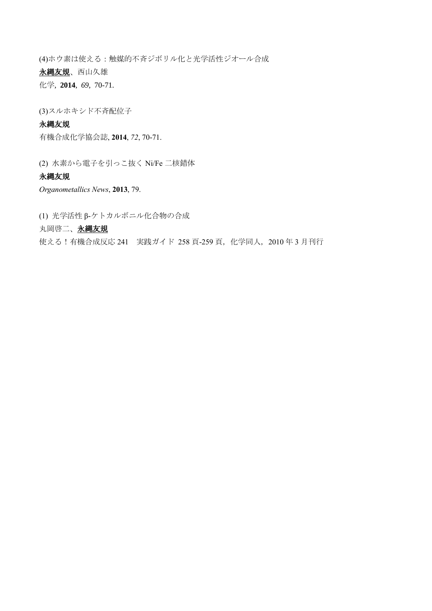(4)ホウ素は使える:触媒的不斉ジボリル化と光学活性ジオール合成 永縄友規、西山久雄 化学, **2014**, *69*, 70-71.

(3)スルホキシド不斉配位子

# 永縄友規

有機合成化学協会誌, **2014**, *72*, 70-71.

(2) 水素から電子を引っこ抜く Ni/Fe 二核錯体

# 永縄友規

*Organometallics News*, **2013**, 79.

(1) 光学活性 β-ケトカルボニル化合物の合成

# 丸岡啓二、永縄友規

使える!有機合成反応 241 実践ガイド 258 頁-259 頁, 化学同人, 2010 年 3 月刊行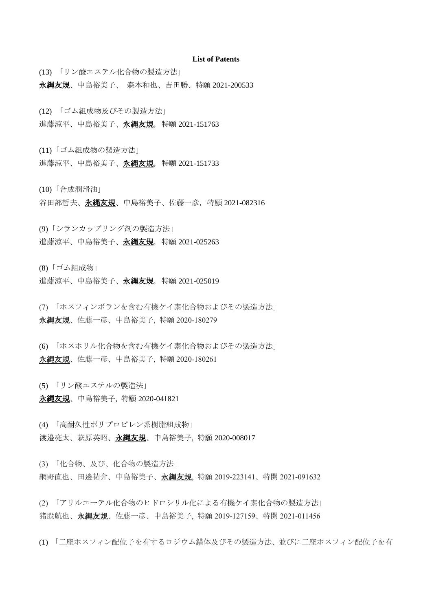#### **List of Patents**

(13) 「リン酸エステル化合物の製造方法」

永縄友規、中島裕美子、 森本和也、吉田勝、特願 2021-200533

- (12) 「ゴム組成物及びその製造方法」
- 進藤涼平、中島裕美子、永縄友規, 特願 2021-151763

(11)「ゴム組成物の製造方法」

進藤涼平、中島裕美子、永縄友規,特願 2021-151733

(10)「合成潤滑油」

谷田部哲夫、永縄友規、中島裕美子、佐藤一彦,特願 2021-082316

(9)「シランカップリング剤の製造方法」

進藤涼平、中島裕美子、永縄友規, 特願 2021-025263

(8)「ゴム組成物」

進藤涼平、中島裕美子、永縄友規, 特願 2021-025019

(7) 「ホスフィンボランを含む有機ケイ素化合物およびその製造方法」 永縄友規、佐藤一彦、中島裕美子, 特願 2020-180279

(6) 「ホスホリル化合物を含む有機ケイ素化合物およびその製造方法」 永縄友規、佐藤一彦、中島裕美子, 特願 2020-180261

(5) 「リン酸エステルの製造法」

永縄友規、中島裕美子, 特願 2020-041821

(4) 「高耐久性ポリプロピレン系樹脂組成物」 渡邉亮太、萩原英昭、**永縄友規**、中島裕美子, 特願 2020-008017

(3) 「化合物、及び、化合物の製造方法」 網野直也、田邊祐介、中島裕美子、永<u>縄友規</u>, 特願 2019-223141、特開 2021-091632

(2) 「アリルエーテル化合物のヒドロシリル化による有機ケイ素化合物の製造方法」 猪股航也、永縄友規、佐藤一彦、中島裕美子, 特願 2019-127159、特開 2021-011456

(1) 「二座ホスフィン配位子を有するロジウム錯体及びその製造方法、並びに二座ホスフィン配位子を有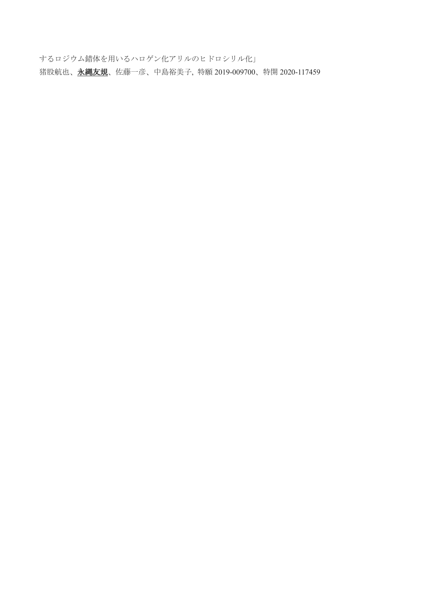するロジウム錯体を用いるハロゲン化アリルのヒドロシリル化」 猪股航也、永縄友規、佐藤一彦、中島裕美子, 特願 2019-009700、特開 2020-117459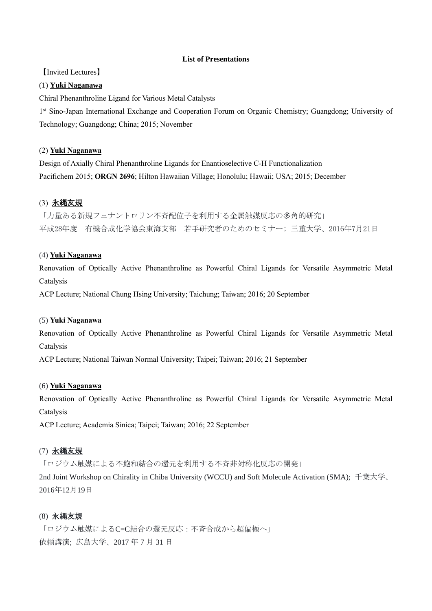### **List of Presentations**

【Invited Lectures】

#### (1) **Yuki Naganawa**

Chiral Phenanthroline Ligand for Various Metal Catalysts

1<sup>st</sup> Sino-Japan International Exchange and Cooperation Forum on Organic Chemistry; Guangdong; University of Technology; Guangdong; China; 2015; November

#### (2) **Yuki Naganawa**

Design of Axially Chiral Phenanthroline Ligands for Enantioselective C-H Functionalization Pacifichem 2015; **ORGN 2696**; Hilton Hawaiian Village; Honolulu; Hawaii; USA; 2015; December

# (3) 永縄友規

「力量ある新規フェナントロリン不斉配位子を利用する金属触媒反応の多角的研究」 平成28年度 有機合成化学協会東海支部 若手研究者のためのセミナー; 三重大学、2016年7月21日

### (4) **Yuki Naganawa**

Renovation of Optically Active Phenanthroline as Powerful Chiral Ligands for Versatile Asymmetric Metal Catalysis

ACP Lecture; National Chung Hsing University; Taichung; Taiwan; 2016; 20 September

#### (5) **Yuki Naganawa**

Renovation of Optically Active Phenanthroline as Powerful Chiral Ligands for Versatile Asymmetric Metal Catalysis

ACP Lecture; National Taiwan Normal University; Taipei; Taiwan; 2016; 21 September

### (6) **Yuki Naganawa**

Renovation of Optically Active Phenanthroline as Powerful Chiral Ligands for Versatile Asymmetric Metal Catalysis

ACP Lecture; Academia Sinica; Taipei; Taiwan; 2016; 22 September

# (7) 永縄友規

「ロジウム触媒による不飽和結合の還元を利用する不斉非対称化反応の開発」

2nd Joint Workshop on Chirality in Chiba University (WCCU) and Soft Molecule Activation (SMA); 千葉大学、 2016年12月19日

### (8) 永縄友規

「ロジウム触媒によるC=C結合の還元反応:不吝合成から超偏極へ」 依頼講演; 広島大学、2017 年 7 月 31 日